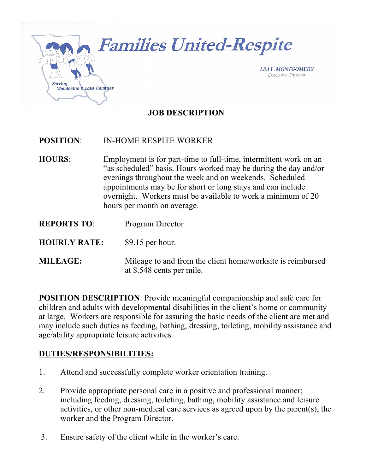

## **POSITION**: IN-HOME RESPITE WORKER

- **HOURS**: Employment is for part-time to full-time, intermittent work on an "as scheduled" basis. Hours worked may be during the day and/or evenings throughout the week and on weekends. Scheduled appointments may be for short or long stays and can include overnight. Workers must be available to work a minimum of 20 hours per month on average.
- **REPORTS TO**: Program Director
- **HOURLY RATE:** \$9.15 per hour.
- **MILEAGE:** Mileage to and from the client home/worksite is reimbursed at \$.548 cents per mile.

**POSITION DESCRIPTION**: Provide meaningful companionship and safe care for children and adults with developmental disabilities in the client's home or community at large. Workers are responsible for assuring the basic needs of the client are met and may include such duties as feeding, bathing, dressing, toileting, mobility assistance and age/ability appropriate leisure activities.

#### **DUTIES/RESPONSIBILITIES:**

- 1. Attend and successfully complete worker orientation training.
- 2. Provide appropriate personal care in a positive and professional manner; including feeding, dressing, toileting, bathing, mobility assistance and leisure activities, or other non-medical care services as agreed upon by the parent(s), the worker and the Program Director.
- 3. Ensure safety of the client while in the worker's care.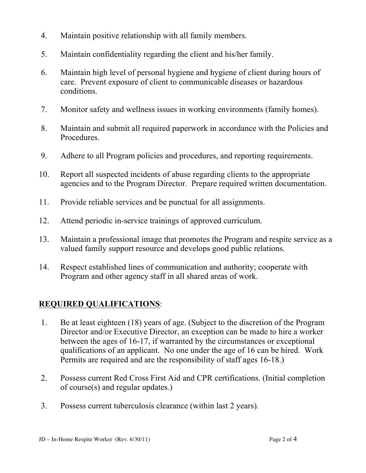- 4. Maintain positive relationship with all family members.
- 5. Maintain confidentiality regarding the client and his/her family.
- 6. Maintain high level of personal hygiene and hygiene of client during hours of care. Prevent exposure of client to communicable diseases or hazardous conditions.
- 7. Monitor safety and wellness issues in working environments (family homes).
- 8. Maintain and submit all required paperwork in accordance with the Policies and Procedures.
- 9. Adhere to all Program policies and procedures, and reporting requirements.
- 10. Report all suspected incidents of abuse regarding clients to the appropriate agencies and to the Program Director. Prepare required written documentation.
- 11. Provide reliable services and be punctual for all assignments.
- 12. Attend periodic in-service trainings of approved curriculum.
- 13. Maintain a professional image that promotes the Program and respite service as a valued family support resource and develops good public relations.
- 14. Respect established lines of communication and authority; cooperate with Program and other agency staff in all shared areas of work.

# **REQUIRED QUALIFICATIONS**:

- 1. Be at least eighteen (18) years of age. (Subject to the discretion of the Program Director and/or Executive Director, an exception can be made to hire a worker between the ages of 16-17, if warranted by the circumstances or exceptional qualifications of an applicant. No one under the age of 16 can be hired. Work Permits are required and are the responsibility of staff ages 16-18.)
- 2. Possess current Red Cross First Aid and CPR certifications. (Initial completion of course(s) and regular updates.)
- 3. Possess current tuberculosis clearance (within last 2 years).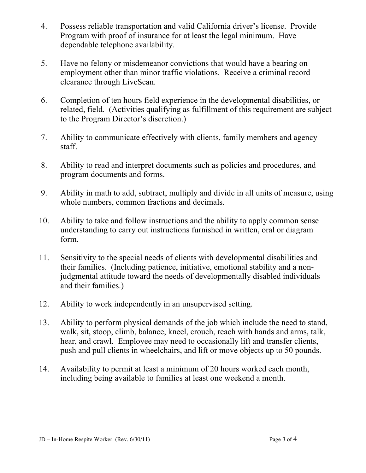- 4. Possess reliable transportation and valid California driver's license. Provide Program with proof of insurance for at least the legal minimum. Have dependable telephone availability.
- 5. Have no felony or misdemeanor convictions that would have a bearing on employment other than minor traffic violations. Receive a criminal record clearance through LiveScan.
- 6. Completion of ten hours field experience in the developmental disabilities, or related, field. (Activities qualifying as fulfillment of this requirement are subject to the Program Director's discretion.)
- 7. Ability to communicate effectively with clients, family members and agency staff.
- 8. Ability to read and interpret documents such as policies and procedures, and program documents and forms.
- 9. Ability in math to add, subtract, multiply and divide in all units of measure, using whole numbers, common fractions and decimals.
- 10. Ability to take and follow instructions and the ability to apply common sense understanding to carry out instructions furnished in written, oral or diagram form.
- 11. Sensitivity to the special needs of clients with developmental disabilities and their families. (Including patience, initiative, emotional stability and a nonjudgmental attitude toward the needs of developmentally disabled individuals and their families.)
- 12. Ability to work independently in an unsupervised setting.
- 13. Ability to perform physical demands of the job which include the need to stand, walk, sit, stoop, climb, balance, kneel, crouch, reach with hands and arms, talk, hear, and crawl. Employee may need to occasionally lift and transfer clients, push and pull clients in wheelchairs, and lift or move objects up to 50 pounds.
- 14. Availability to permit at least a minimum of 20 hours worked each month, including being available to families at least one weekend a month.